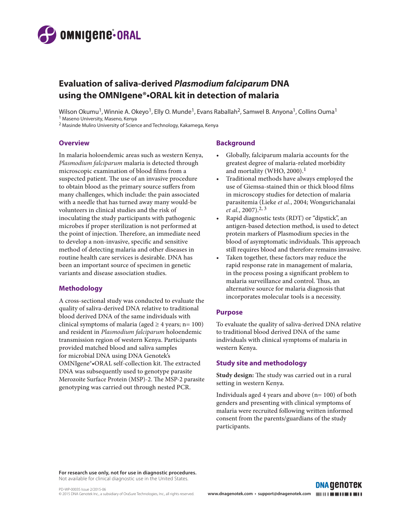

# **Evaluation of saliva-derived** *Plasmodium falciparum* **DNA using the OMNIgene®•ORAL kit in detection of malaria**

Wilson Okumu<sup>1</sup>, Winnie A. Okeyo<sup>1</sup>, Elly O. Munde<sup>1</sup>, Evans Raballah<sup>2</sup>, Samwel B. Anyona<sup>1</sup>, Collins Ouma<sup>1</sup> 1 Maseno University, Maseno, Kenya

2 Masinde Muliro University of Science and Technology, Kakamega, Kenya

#### **Overview**

In malaria holoendemic areas such as western Kenya, *Plasmodium falciparum* malaria is detected through microscopic examination of blood films from a suspected patient. The use of an invasive procedure to obtain blood as the primary source suffers from many challenges, which include: the pain associated with a needle that has turned away many would-be volunteers in clinical studies and the risk of inoculating the study participants with pathogenic microbes if proper sterilization is not performed at the point of injection. Therefore, an immediate need to develop a non-invasive, specific and sensitive method of detecting malaria and other diseases in routine health care services is desirable. DNA has been an important source of specimen in genetic variants and disease association studies.

## **Methodology**

A cross-sectional study was conducted to evaluate the quality of saliva-derived DNA relative to traditional blood derived DNA of the same individuals with clinical symptoms of malaria (aged  $\geq 4$  years; n= 100) and resident in *Plasmodium falciparum* holoendemic transmission region of western Kenya. Participants provided matched blood and saliva samples for microbial DNA using DNA Genotek's OMNIgene®•ORAL self-collection kit. The extracted DNA was subsequently used to genotype parasite Merozoite Surface Protein (MSP)-2. The MSP-2 parasite genotyping was carried out through nested PCR.

## **Background**

- Globally, falciparum malaria accounts for the greatest degree of malaria-related morbidity and mortality (WHO, 2000).<sup>1</sup>
- Traditional methods have always employed the use of Giemsa-stained thin or thick blood films in microscopy studies for detection of malaria parasitemia (Lieke *et al.*, 2004; Wongsrichanalai *et al.*, 2007).2, 3
- Rapid diagnostic tests (RDT) or "dipstick", an antigen-based detection method, is used to detect protein markers of Plasmodium species in the blood of asymptomatic individuals. This approach still requires blood and therefore remains invasive.
- Taken together, these factors may reduce the rapid response rate in management of malaria, in the process posing a significant problem to malaria surveillance and control. Thus, an alternative source for malaria diagnosis that incorporates molecular tools is a necessity.

#### **Purpose**

To evaluate the quality of saliva-derived DNA relative to traditional blood derived DNA of the same individuals with clinical symptoms of malaria in western Kenya.

## **Study site and methodology**

**Study design:** The study was carried out in a rural setting in western Kenya.

Individuals aged 4 years and above (n= 100) of both genders and presenting with clinical symptoms of malaria were recruited following written informed consent from the parents/guardians of the study participants.

**DNA GENOTEK** 

**For research use only, not for use in diagnostic procedures.**  Not available for clinical diagnostic use in the United States.

PD-WP-00035 Issue 2/2015-06

© 2015 DNA Genotek Inc., a subsidiary of OraSure Technologies, Inc., all rights reserved. **www.dnagenotek.com • support@dnagenotek.com**